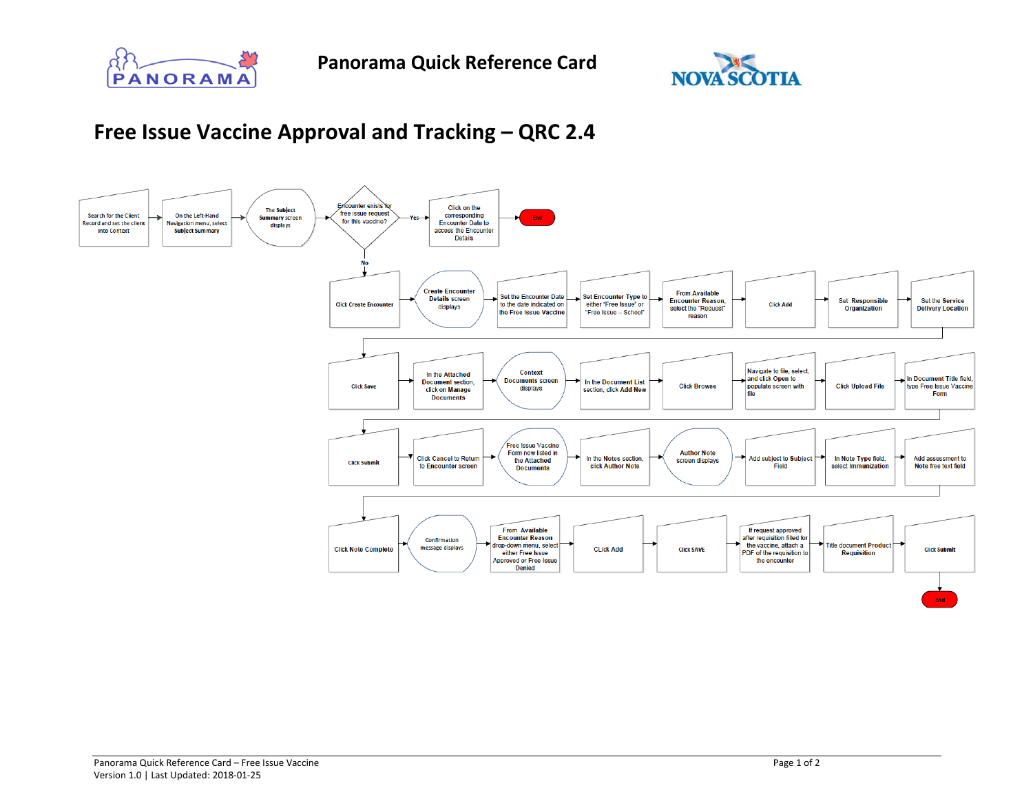



## **Free Issue Vaccine Approval and Tracking – QRC 2.4**